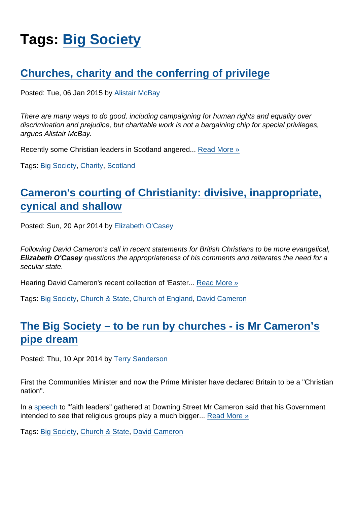# Tags: [Big Society](https://www.secularism.org.uk/opinion/tags/Big+Society)

# [Churches, charity and the conferring of privilege](https://www.secularism.org.uk/opinion/2015/01/churches-charity-and-the-conferring-of-privilege)

Posted: Tue, 06 Jan 2015 by [Alistair McBay](https://www.secularism.org.uk/opinion/authors/853)

There are many ways to do good, including campaigning for human rights and equality over discrimination and prejudice, but charitable work is not a bargaining chip for special privileges, argues Alistair McBay.

Recently some Christian leaders in Scotland angered... [Read More »](https://www.secularism.org.uk/opinion/2015/01/churches-charity-and-the-conferring-of-privilege)

Tags: [Big Society](https://www.secularism.org.uk/opinion/tags/Big+Society), [Charity](https://www.secularism.org.uk/opinion/tags/Charity), [Scotland](https://www.secularism.org.uk/opinion/tags/Scotland)

# [Cameron's courting of Christianity: divisive, inappropriate,](https://www.secularism.org.uk/opinion/2014/04/camerons-courting-of-christianity-inappropriate-cynical-and-shallow) [cynical and shallow](https://www.secularism.org.uk/opinion/2014/04/camerons-courting-of-christianity-inappropriate-cynical-and-shallow)

Posted: Sun, 20 Apr 2014 by [Elizabeth O'Casey](https://www.secularism.org.uk/opinion/authors/865)

Following David Cameron's call in recent statements for British Christians to be more evangelical, Elizabeth O'Casey questions the appropriateness of his comments and reiterates the need for a secular state.

Hearing David Cameron's recent collection of 'Easter... [Read More »](https://www.secularism.org.uk/opinion/2014/04/camerons-courting-of-christianity-inappropriate-cynical-and-shallow)

Tags: [Big Society](https://www.secularism.org.uk/opinion/tags/Big+Society), [Church & State](https://www.secularism.org.uk/opinion/tags/Church+&+State), [Church of England](https://www.secularism.org.uk/opinion/tags/Church+of+England), [David Cameron](https://www.secularism.org.uk/opinion/tags/David+Cameron)

# [The Big Society – to be run by churches - is Mr Cameron's](https://www.secularism.org.uk/opinion/2014/04/the-big-society-to-be-run-by-churches-is-mr-camerons-pipe-dream) [pipe dream](https://www.secularism.org.uk/opinion/2014/04/the-big-society-to-be-run-by-churches-is-mr-camerons-pipe-dream)

Posted: Thu, 10 Apr 2014 by [Terry Sanderson](https://www.secularism.org.uk/opinion/authors/850)

First the Communities Minister and now the Prime Minister have declared Britain to be a "Christian nation".

In a [speech](https://www.gov.uk/government/speeches/easter-reception-at-downing-street-2014) to "faith leaders" gathered at Downing Street Mr Cameron said that his Government intended to see that religious groups play a much bigger... [Read More »](https://www.secularism.org.uk/opinion/2014/04/the-big-society-to-be-run-by-churches-is-mr-camerons-pipe-dream)

Tags: [Big Society](https://www.secularism.org.uk/opinion/tags/Big+Society), [Church & State](https://www.secularism.org.uk/opinion/tags/Church+&+State), [David Cameron](https://www.secularism.org.uk/opinion/tags/David+Cameron)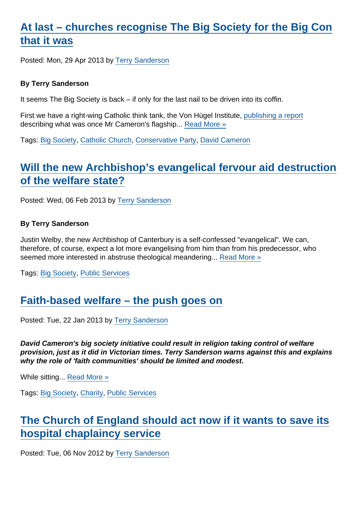# [At last – churches recognise The Big Society for the Big Con](https://www.secularism.org.uk/opinion/2013/04/at-last-churches-recognise-the-big-society-for-the-big-con-that-it-was) [that it was](https://www.secularism.org.uk/opinion/2013/04/at-last-churches-recognise-the-big-society-for-the-big-con-that-it-was)

Posted: Mon, 29 Apr 2013 by [Terry Sanderson](https://www.secularism.org.uk/opinion/authors/850)

By Terry Sanderson

It seems The Big Society is back – if only for the last nail to be driven into its coffin.

First we have a right-wing Catholic think tank, the Von Hügel Institute, [publishing a report](http://www.vonhugel.org.uk/publications-audio-visual) describing what was once Mr Cameron's flagship... [Read More »](https://www.secularism.org.uk/opinion/2013/04/at-last-churches-recognise-the-big-society-for-the-big-con-that-it-was)

Tags: [Big Society](https://www.secularism.org.uk/opinion/tags/Big+Society), [Catholic Church](https://www.secularism.org.uk/opinion/tags/Catholic+Church), [Conservative Party](https://www.secularism.org.uk/opinion/tags/Conservative+Party), [David Cameron](https://www.secularism.org.uk/opinion/tags/David+Cameron)

#### [Will the new Archbishop's evangelical fervour aid destruction](https://www.secularism.org.uk/opinion/2013/02/will-the-new-archbishops-evangelical-fervour-aid-destruction-of-the-welfare-state) [of the welfare state?](https://www.secularism.org.uk/opinion/2013/02/will-the-new-archbishops-evangelical-fervour-aid-destruction-of-the-welfare-state)

Posted: Wed, 06 Feb 2013 by [Terry Sanderson](https://www.secularism.org.uk/opinion/authors/850)

By Terry Sanderson

Justin Welby, the new Archbishop of Canterbury is a self-confessed "evangelical". We can, therefore, of course, expect a lot more evangelising from him than from his predecessor, who seemed more interested in abstruse theological meandering... [Read More »](https://www.secularism.org.uk/opinion/2013/02/will-the-new-archbishops-evangelical-fervour-aid-destruction-of-the-welfare-state)

Tags: [Big Society](https://www.secularism.org.uk/opinion/tags/Big+Society), [Public Services](https://www.secularism.org.uk/opinion/tags/Public+Services)

#### [Faith-based welfare – the push goes on](https://www.secularism.org.uk/opinion/2013/01/faith-based-welfare-the-push-goes-on)

Posted: Tue, 22 Jan 2013 by [Terry Sanderson](https://www.secularism.org.uk/opinion/authors/850)

David Cameron's big society initiative could result in religion taking control of welfare provision, just as it did in Victorian times. Terry Sanderson warns against this and explains why the role of 'faith communities' should be limited and modest.

While sitting... [Read More »](https://www.secularism.org.uk/opinion/2013/01/faith-based-welfare-the-push-goes-on)

Tags: [Big Society](https://www.secularism.org.uk/opinion/tags/Big+Society), [Charity](https://www.secularism.org.uk/opinion/tags/Charity), [Public Services](https://www.secularism.org.uk/opinion/tags/Public+Services)

### [The Church of England should act now if it wants to save its](https://www.secularism.org.uk/opinion/2012/11/the-church-if-england-should-act-now-if-it-wants-to-save-its-hospital-chaplaincy-service) [hospital chaplaincy service](https://www.secularism.org.uk/opinion/2012/11/the-church-if-england-should-act-now-if-it-wants-to-save-its-hospital-chaplaincy-service)

Posted: Tue, 06 Nov 2012 by [Terry Sanderson](https://www.secularism.org.uk/opinion/authors/850)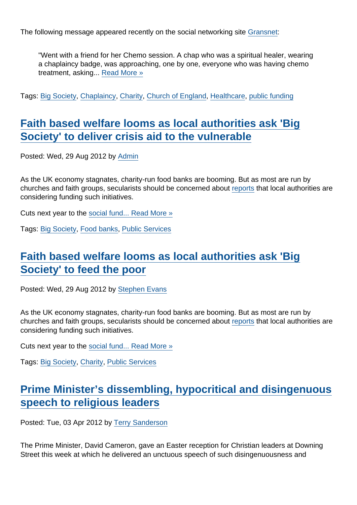The following message appeared recently on the social networking site [Gransnet:](http://www.gransnet.com/forums/am_i_being_unreasonable/1194548-To-think-Chemo-patients-should-not-be-pestered?msgid=24939307#24939307)

"Went with a friend for her Chemo session. A chap who was a spiritual healer, wearing a chaplaincy badge, was approaching, one by one, everyone who was having chemo treatment, asking... [Read More »](https://www.secularism.org.uk/opinion/2012/11/the-church-if-england-should-act-now-if-it-wants-to-save-its-hospital-chaplaincy-service)

Tags: [Big Society](https://www.secularism.org.uk/opinion/tags/Big+Society), [Chaplaincy](https://www.secularism.org.uk/opinion/tags/Chaplaincy), [Charity](https://www.secularism.org.uk/opinion/tags/Charity), [Church of England](https://www.secularism.org.uk/opinion/tags/Church+of+England), [Healthcare,](https://www.secularism.org.uk/opinion/tags/Healthcare) [public funding](https://www.secularism.org.uk/opinion/tags/public+funding)

#### [Faith based welfare looms as local authorities ask 'Big](https://www.secularism.org.uk/opinion/2012/08/faith-based-welfare-looms-as-local-authorities-ask-big-society-to-deliver-crisis-aid-to-the-vulnerable) [Society' to deliver crisis aid to the vulnerable](https://www.secularism.org.uk/opinion/2012/08/faith-based-welfare-looms-as-local-authorities-ask-big-society-to-deliver-crisis-aid-to-the-vulnerable)

Posted: Wed, 29 Aug 2012 by [Admin](https://www.secularism.org.uk/opinion/authors/195)

As the UK economy stagnates, charity-run food banks are booming. But as most are run by churches and faith groups, secularists should be concerned about [reports](http://www.guardian.co.uk/society/2012/aug/21/councils-invest-food-banks-welfare-cuts) that local authorities are considering funding such initiatives.

Cuts next year to the [social fund...](http://www.adviceguide.org.uk/england/benefits_e/benefits_help_if_on_a_low_income_ew/help_for_people_on_a_low_income_-_the_social_fund.htm) [Read More »](https://www.secularism.org.uk/opinion/2012/08/faith-based-welfare-looms-as-local-authorities-ask-big-society-to-deliver-crisis-aid-to-the-vulnerable)

Tags: [Big Society](https://www.secularism.org.uk/opinion/tags/Big+Society), [Food banks,](https://www.secularism.org.uk/opinion/tags/Food+banks) [Public Services](https://www.secularism.org.uk/opinion/tags/Public+Services)

# [Faith based welfare looms as local authorities ask 'Big](https://www.secularism.org.uk/opinion/2012/08/faith-based-welfare-looms-as-local-authorities-ask-big-society-to-deliver-crisis-aid-to-the-vulnerable1) [Society' to feed the poor](https://www.secularism.org.uk/opinion/2012/08/faith-based-welfare-looms-as-local-authorities-ask-big-society-to-deliver-crisis-aid-to-the-vulnerable1)

Posted: Wed, 29 Aug 2012 by [Stephen Evans](https://www.secularism.org.uk/opinion/authors/845)

As the UK economy stagnates, charity-run food banks are booming. But as most are run by churches and faith groups, secularists should be concerned about [reports](http://www.guardian.co.uk/society/2012/aug/21/councils-invest-food-banks-welfare-cuts) that local authorities are considering funding such initiatives.

Cuts next year to the [social fund...](http://www.adviceguide.org.uk/england/benefits_e/benefits_help_if_on_a_low_income_ew/help_for_people_on_a_low_income_-_the_social_fund.htm) [Read More »](https://www.secularism.org.uk/opinion/2012/08/faith-based-welfare-looms-as-local-authorities-ask-big-society-to-deliver-crisis-aid-to-the-vulnerable1)

Tags: [Big Society](https://www.secularism.org.uk/opinion/tags/Big+Society), [Charity](https://www.secularism.org.uk/opinion/tags/Charity), [Public Services](https://www.secularism.org.uk/opinion/tags/Public+Services)

## [Prime Minister's dissembling, hypocritical and disingenuous](https://www.secularism.org.uk/opinion/2012/04/prime-ministers-dissembling-hypocritical-and-disingenuous-speech-to-religious-leaders) [speech to religious leaders](https://www.secularism.org.uk/opinion/2012/04/prime-ministers-dissembling-hypocritical-and-disingenuous-speech-to-religious-leaders)

Posted: Tue, 03 Apr 2012 by [Terry Sanderson](https://www.secularism.org.uk/opinion/authors/850)

The Prime Minister, David Cameron, gave an Easter reception for Christian leaders at Downing Street this week at which he delivered an unctuous speech of such disingenuousness and